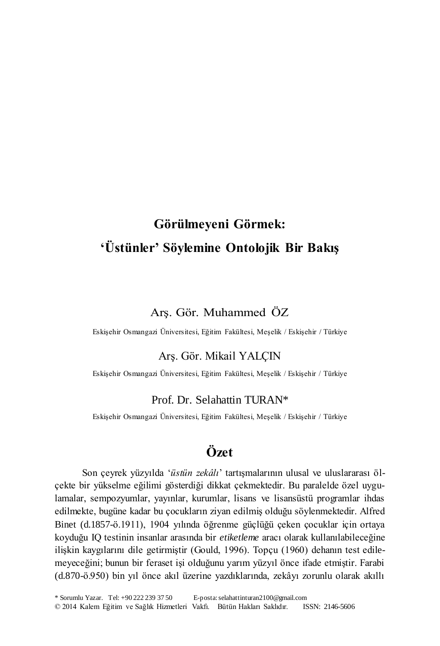# **Görülmeyeni Görmek: 'Üstünler' Söylemine Ontolojik Bir Bakış**

## Arş. Gör. Muhammed ÖZ

Eskişehir Osmangazi Üniversitesi, Eğitim Fakültesi, Meşelik / Eskişehir / Türkiye

## Arş. Gör. Mikail YALÇIN

Eskişehir Osmangazi Üniversitesi, Eğitim Fakültesi, Meşelik / Eskişehir / Türkiye

#### Prof. Dr. Selahattin TURAN\*

Eskişehir Osmangazi Üniversitesi, Eğitim Fakültesi, Meşelik / Eskişehir / Türkiye

## **Özet**

Son çeyrek yüzyılda '*üstün zekâlı*' tartışmalarının ulusal ve uluslararası ölçekte bir yükselme eğilimi gösterdiği dikkat çekmektedir. Bu paralelde özel uygulamalar, sempozyumlar, yayınlar, kurumlar, lisans ve lisansüstü programlar ihdas edilmekte, bugüne kadar bu çocukların ziyan edilmiş olduğu söylenmektedir. Alfred Binet (d.1857-ö.1911), 1904 yılında öğrenme güçlüğü çeken çocuklar için ortaya koyduğu IQ testinin insanlar arasında bir *etiketleme* aracı olarak kullanılabileceğine ilişkin kaygılarını dile getirmiştir (Gould, 1996). Topçu (1960) dehanın test edilemeyeceğini; bunun bir feraset işi olduğunu yarım yüzyıl önce ifade etmiştir. Farabi (d.870-ö.950) bin yıl önce akıl üzerine yazdıklarında, zekâyı zorunlu olarak akıllı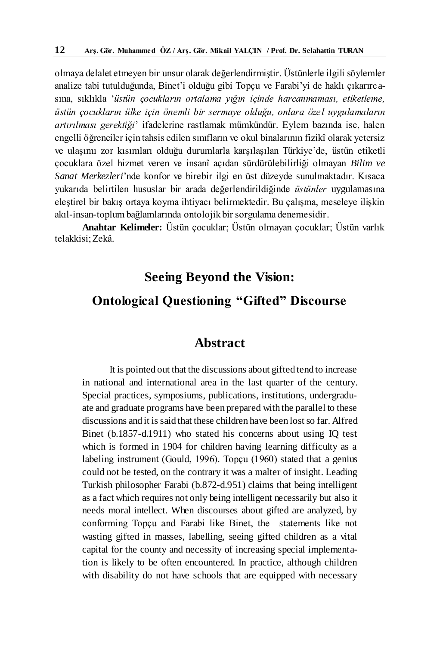olmaya delalet etmeyen bir unsur olarak değerlendirmiştir. Üstünlerle ilgili söylemler analize tabi tutulduğunda, Binet'i olduğu gibi Topçu ve Farabi'yi de haklı çıkarırcasına, sıklıkla '*üstün çocukların ortalama yığın içinde harcanmaması, etiketleme, üstün çocukların ülke için önemli bir sermaye olduğu, onlara özel uygulamaların artırılması gerektiği*' ifadelerine rastlamak mümkündür. Eylem bazında ise, halen engelli öğrenciler için tahsis edilen sınıfların ve okul binalarının fizikî olarak yetersiz ve ulaşımı zor kısımları olduğu durumlarla karşılaşılan Türkiye'de, üstün etiketli çocuklara özel hizmet veren ve insanî açıdan sürdürülebilirliği olmayan *Bilim ve Sanat Merkezleri*'nde konfor ve birebir ilgi en üst düzeyde sunulmaktadır. Kısaca yukarıda belirtilen hususlar bir arada değerlendirildiğinde *üstünler* uygulamasına eleştirel bir bakış ortaya koyma ihtiyacı belirmektedir. Bu çalışma, meseleye ilişkin akıl-insan-toplum bağlamlarında ontolojik bir sorgulama denemesidir.

**Anahtar Kelimeler:** Üstün çocuklar; Üstün olmayan çocuklar; Üstün varlık telakkisi; Zekâ.

## **Seeing Beyond the Vision:**

## **Ontological Questioning "Gifted" Discourse**

## **Abstract**

It is pointed out that the discussions about gifted tend to increase in national and international area in the last quarter of the century. Special practices, symposiums, publications, institutions, undergraduate and graduate programs have been prepared with the parallel to these discussions and it is said that these children have been lost so far. Alfred Binet (b.1857-d.1911) who stated his concerns about using IQ test which is formed in 1904 for children having learning difficulty as a labeling instrument (Gould, 1996). Topçu (1960) stated that a genius could not be tested, on the contrary it was a malter of insight. Leading Turkish philosopher Farabi (b.872-d.951) claims that being intelligent as a fact which requires not only being intelligent necessarily but also it needs moral intellect. When discourses about gifted are analyzed, by conforming Topçu and Farabi like Binet, the statements like not wasting gifted in masses, labelling, seeing gifted children as a vital capital for the county and necessity of increasing special implementation is likely to be often encountered. In practice, although children with disability do not have schools that are equipped with necessary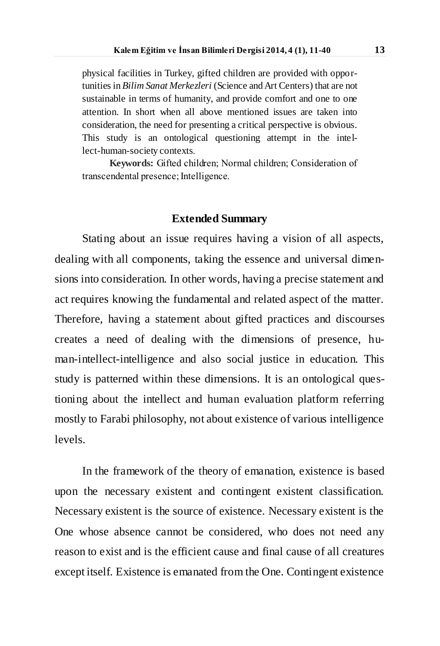physical facilities in Turkey, gifted children are provided with opportunities in *Bilim Sanat Merkezleri* (Science and Art Centers) that are not sustainable in terms of humanity, and provide comfort and one to one attention. In short when all above mentioned issues are taken into consideration, the need for presenting a critical perspective is obvious. This study is an ontological questioning attempt in the intellect-human-society contexts.

**Keywords:** Gifted children; Normal children; Consideration of transcendental presence; Intelligence.

#### **Extended Summary**

Stating about an issue requires having a vision of all aspects, dealing with all components, taking the essence and universal dimensions into consideration. In other words, having a precise statement and act requires knowing the fundamental and related aspect of the matter. Therefore, having a statement about gifted practices and discourses creates a need of dealing with the dimensions of presence, human-intellect-intelligence and also social justice in education. This study is patterned within these dimensions. It is an ontological questioning about the intellect and human evaluation platform referring mostly to Farabi philosophy, not about existence of various intelligence levels.

In the framework of the theory of emanation, existence is based upon the necessary existent and contingent existent classification. Necessary existent is the source of existence. Necessary existent is the One whose absence cannot be considered, who does not need any reason to exist and is the efficient cause and final cause of all creatures except itself. Existence is emanated from the One. Contingent existence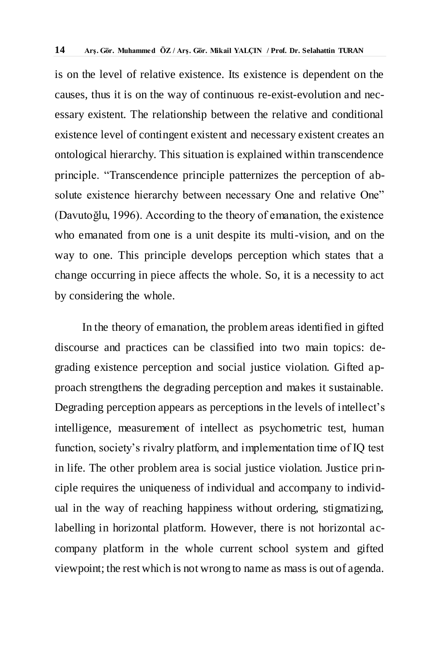is on the level of relative existence. Its existence is dependent on the causes, thus it is on the way of continuous re-exist-evolution and necessary existent. The relationship between the relative and conditional existence level of contingent existent and necessary existent creates an ontological hierarchy. This situation is explained within transcendence principle. "Transcendence principle patternizes the perception of absolute existence hierarchy between necessary One and relative One" (Davutoğlu, 1996). According to the theory of emanation, the existence who emanated from one is a unit despite its multi-vision, and on the way to one. This principle develops perception which states that a change occurring in piece affects the whole. So, it is a necessity to act by considering the whole.

In the theory of emanation, the problem areas identified in gifted discourse and practices can be classified into two main topics: degrading existence perception and social justice violation. Gifted approach strengthens the degrading perception and makes it sustainable. Degrading perception appears as perceptions in the levels of intellect's intelligence, measurement of intellect as psychometric test, human function, society's rivalry platform, and implementation time of IQ test in life. The other problem area is social justice violation. Justice principle requires the uniqueness of individual and accompany to individual in the way of reaching happiness without ordering, stigmatizing, labelling in horizontal platform. However, there is not horizontal accompany platform in the whole current school system and gifted viewpoint; the rest which is not wrong to name as mass is out of agenda.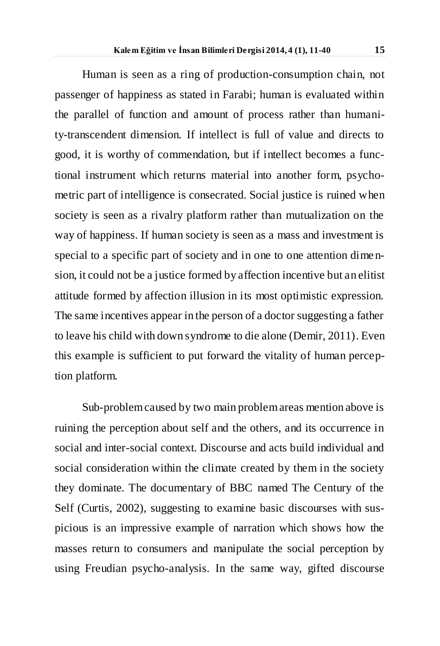Human is seen as a ring of production-consumption chain, not passenger of happiness as stated in Farabi; human is evaluated within the parallel of function and amount of process rather than humanity-transcendent dimension. If intellect is full of value and directs to good, it is worthy of commendation, but if intellect becomes a functional instrument which returns material into another form, psychometric part of intelligence is consecrated. Social justice is ruined when society is seen as a rivalry platform rather than mutualization on the way of happiness. If human society is seen as a mass and investment is special to a specific part of society and in one to one attention dime nsion, it could not be a justice formed by affection incentive but an elitist attitude formed by affection illusion in its most optimistic expression. The same incentives appear in the person of a doctor suggesting a father to leave his child with down syndrome to die alone (Demir, 2011). Even this example is sufficient to put forward the vitality of human perception platform.

Sub-problem caused by two main problem areas mention above is ruining the perception about self and the others, and its occurrence in social and inter-social context. Discourse and acts build individual and social consideration within the climate created by them in the society they dominate. The documentary of BBC named The Century of the Self (Curtis, 2002), suggesting to examine basic discourses with suspicious is an impressive example of narration which shows how the masses return to consumers and manipulate the social perception by using Freudian psycho-analysis. In the same way, gifted discourse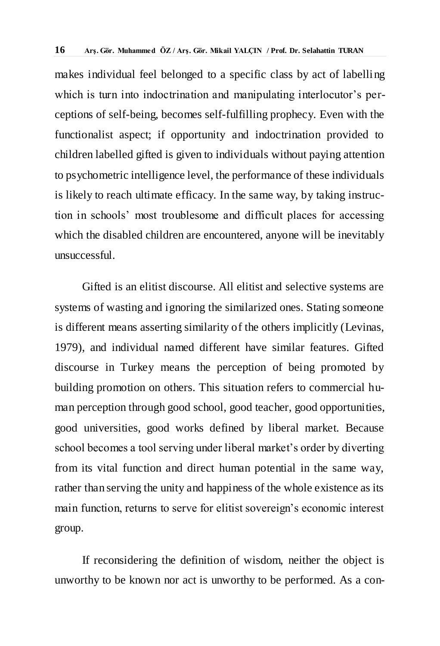makes individual feel belonged to a specific class by act of labelling which is turn into indoctrination and manipulating interlocutor's perceptions of self-being, becomes self-fulfilling prophecy. Even with the functionalist aspect; if opportunity and indoctrination provided to children labelled gifted is given to individuals without paying attention to psychometric intelligence level, the performance of these individuals is likely to reach ultimate efficacy. In the same way, by taking instruction in schools' most troublesome and difficult places for accessing which the disabled children are encountered, anyone will be inevitably unsuccessful.

Gifted is an elitist discourse. All elitist and selective systems are systems of wasting and ignoring the similarized ones. Stating someone is different means asserting similarity of the others implicitly (Levinas, 1979), and individual named different have similar features. Gifted discourse in Turkey means the perception of being promoted by building promotion on others. This situation refers to commercial human perception through good school, good teacher, good opportunities, good universities, good works defined by liberal market. Because school becomes a tool serving under liberal market's order by diverting from its vital function and direct human potential in the same way, rather than serving the unity and happiness of the whole existence as its main function, returns to serve for elitist sovereign's economic interest group.

If reconsidering the definition of wisdom, neither the object is unworthy to be known nor act is unworthy to be performed. As a con-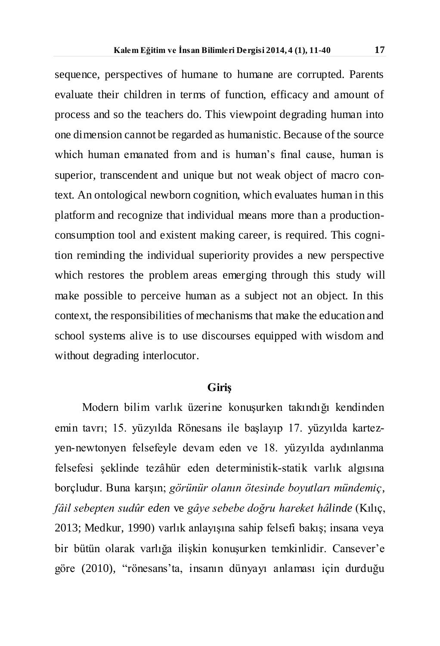sequence, perspectives of humane to humane are corrupted. Parents evaluate their children in terms of function, efficacy and amount of process and so the teachers do. This viewpoint degrading human into one dimension cannot be regarded as humanistic. Because of the source which human emanated from and is human's final cause, human is superior, transcendent and unique but not weak object of macro context. An ontological newborn cognition, which evaluates human in this platform and recognize that individual means more than a productionconsumption tool and existent making career, is required. This cognition reminding the individual superiority provides a new perspective which restores the problem areas emerging through this study will make possible to perceive human as a subject not an object. In this context, the responsibilities of mechanisms that make the education and school systems alive is to use discourses equipped with wisdom and without degrading interlocutor.

#### **Giriş**

Modern bilim varlık üzerine konuşurken takındığı kendinden emin tavrı; 15. yüzyılda Rönesans ile başlayıp 17. yüzyılda kartezyen-newtonyen felsefeyle devam eden ve 18. yüzyılda aydınlanma felsefesi şeklinde tezâhür eden deterministik-statik varlık algısına borçludur. Buna karşın; *görünür olanın ötesinde boyutları mündemiç*, *fâil sebepten sudûr eden* ve *gâye sebebe doğru hareket hâlinde* (Kılıç, 2013; Medkur, 1990) varlık anlayışına sahip felsefi bakış; insana veya bir bütün olarak varlığa ilişkin konuşurken temkinlidir. Cansever'e göre (2010), "rönesans'ta, insanın dünyayı anlaması için durduğu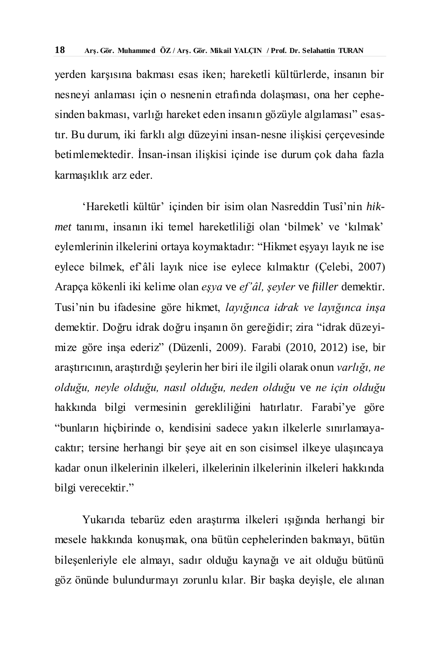yerden karşısına bakması esas iken; hareketli kültürlerde, insanın bir nesneyi anlaması için o nesnenin etrafında dolaşması, ona her cephesinden bakması, varlığı hareket eden insanın gözüyle algılaması" esastır. Bu durum, iki farklı algı düzeyini insan-nesne ilişkisi çerçevesinde betimlemektedir. İnsan-insan ilişkisi içinde ise durum çok daha fazla karmaşıklık arz eder.

'Hareketli kültür' içinden bir isim olan Nasreddin Tusî'nin *hikmet* tanımı, insanın iki temel hareketliliği olan 'bilmek' ve 'kılmak' eylemlerinin ilkelerini ortaya koymaktadır: "Hikmet eşyayı layık ne ise eylece bilmek, ef'âli layık nice ise eylece kılmaktır (Çelebi, 2007) Arapça kökenli iki kelime olan *eşya* ve *ef'âl, şeyler* ve *fiiller* demektir. Tusi'nin bu ifadesine göre hikmet, *layığınca idrak ve layığınca inşa* demektir. Doğru idrak doğru inşanın ön gereğidir; zira "idrak düzeyimize göre inşa ederiz" (Düzenli, 2009). Farabi (2010, 2012) ise, bir araştırıcının, araştırdığı şeylerin her biri ile ilgili olarak onun *varlığı, ne olduğu, neyle olduğu, nasıl olduğu, neden olduğu* ve *ne için olduğu* hakkında bilgi vermesinin gerekliliğini hatırlatır. Farabi'ye göre "bunların hiçbirinde o, kendisini sadece yakın ilkelerle sınırlamayacaktır; tersine herhangi bir şeye ait en son cisimsel ilkeye ulaşıncaya kadar onun ilkelerinin ilkeleri, ilkelerinin ilkelerinin ilkeleri hakkında bilgi verecektir."

Yukarıda tebarüz eden araştırma ilkeleri ışığında herhangi bir mesele hakkında konuşmak, ona bütün cephelerinden bakmayı, bütün bileşenleriyle ele almayı, sadır olduğu kaynağı ve ait olduğu bütünü göz önünde bulundurmayı zorunlu kılar. Bir başka deyişle, ele alınan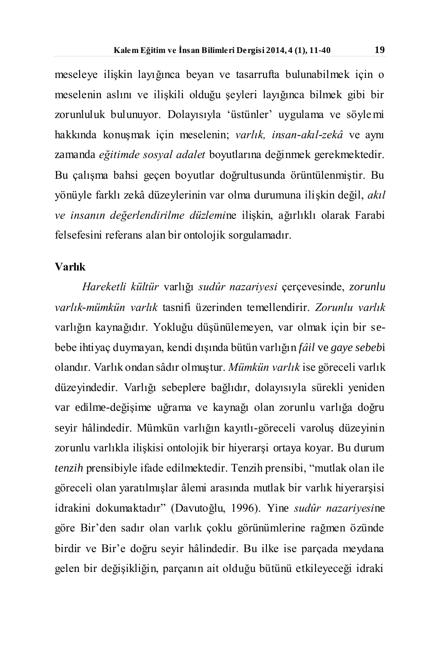meseleye ilişkin layığınca beyan ve tasarrufta bulunabilmek için o meselenin aslını ve ilişkili olduğu şeyleri layığınca bilmek gibi bir zorunluluk bulunuyor. Dolayısıyla 'üstünler' uygulama ve söylemi hakkında konuşmak için meselenin; *varlık, insan-akıl-zekâ* ve aynı zamanda *eğitimde sosyal adalet* boyutlarına değinmek gerekmektedir. Bu çalışma bahsi geçen boyutlar doğrultusunda örüntülenmiştir. Bu yönüyle farklı zekâ düzeylerinin var olma durumuna ilişkin değil, *akıl ve insanın değerlendirilme düzlemi*ne ilişkin, ağırlıklı olarak Farabi felsefesini referans alan bir ontolojik sorgulamadır.

## **Varlık**

*Hareketli kültür* varlığı *sudûr nazariyesi* çerçevesinde, *zorunlu varlık-mümkün varlık* tasnifi üzerinden temellendirir. *Zorunlu varlık* varlığın kaynağıdır. Yokluğu düşünülemeyen, var olmak için bir sebebe ihtiyaç duymayan, kendi dışında bütün varlığın *fâil* ve *gaye sebeb*i olandır. Varlık ondan sâdır olmuştur. *Mümkün varlık* ise göreceli varlık düzeyindedir. Varlığı sebeplere bağlıdır, dolayısıyla sürekli yeniden var edilme-değişime uğrama ve kaynağı olan zorunlu varlığa doğru seyir hâlindedir. Mümkün varlığın kayıtlı-göreceli varoluş düzeyinin zorunlu varlıkla ilişkisi ontolojik bir hiyerarşi ortaya koyar. Bu durum *tenzih* prensibiyle ifade edilmektedir. Tenzih prensibi, "mutlak olan ile göreceli olan yaratılmışlar âlemi arasında mutlak bir varlık hiyerarşisi idrakini dokumaktadır" (Davutoğlu, 1996). Yine *sudûr nazariyesi*ne göre Bir'den sadır olan varlık çoklu görünümlerine rağmen özünde birdir ve Bir'e doğru seyir hâlindedir. Bu ilke ise parçada meydana gelen bir değişikliğin, parçanın ait olduğu bütünü etkileyeceği idraki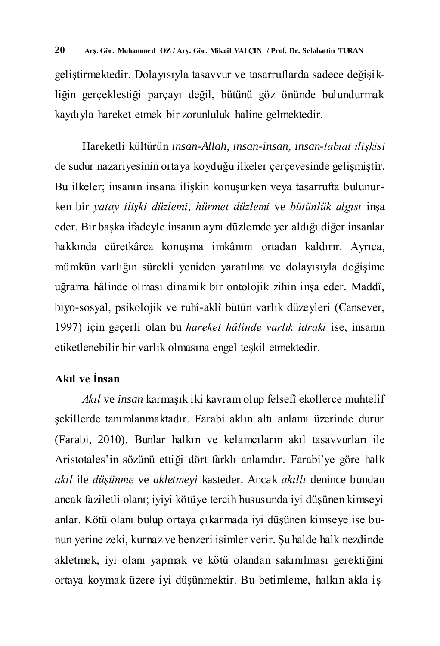geliştirmektedir. Dolayısıyla tasavvur ve tasarruflarda sadece değişikliğin gerçekleştiği parçayı değil, bütünü göz önünde bulundurmak kaydıyla hareket etmek bir zorunluluk haline gelmektedir.

Hareketli kültürün *insan-Allah, insan-insan, insan-tabiat ilişkisi* de sudur nazariyesinin ortaya koyduğu ilkeler çerçevesinde gelişmiştir. Bu ilkeler; insanın insana ilişkin konuşurken veya tasarrufta bulunurken bir *yatay ilişki düzlemi*, *hürmet düzlemi* ve *bütünlük algısı* inşa eder. Bir başka ifadeyle insanın aynı düzlemde yer aldığı diğer insanlar hakkında cüretkârca konuşma imkânını ortadan kaldırır. Ayrıca, mümkün varlığın sürekli yeniden yaratılma ve dolayısıyla değişime uğrama hâlinde olması dinamik bir ontolojik zihin inşa eder. Maddî, biyo-sosyal, psikolojik ve ruhî-aklî bütün varlık düzeyleri (Cansever, 1997) için geçerli olan bu *hareket hâlinde varlık idraki* ise, insanın etiketlenebilir bir varlık olmasına engel teşkil etmektedir.

## **Akıl ve İnsan**

*Akıl* ve *insan* karmaşık iki kavram olup felsefî ekollerce muhtelif şekillerde tanımlanmaktadır. Farabi aklın altı anlamı üzerinde durur (Farabi, 2010). Bunlar halkın ve kelamcıların akıl tasavvurları ile Aristotales'in sözünü ettiği dört farklı anlamdır. Farabi'ye göre halk *akıl* ile *düşünme* ve *akletmeyi* kasteder. Ancak *akıllı* denince bundan ancak faziletli olanı; iyiyi kötüye tercih hususunda iyi düşünen kimseyi anlar. Kötü olanı bulup ortaya çıkarmada iyi düşünen kimseye ise bunun yerine zeki, kurnaz ve benzeri isimler verir. Şu halde halk nezdinde akletmek, iyi olanı yapmak ve kötü olandan sakınılması gerektiğini ortaya koymak üzere iyi düşünmektir. Bu betimleme, halkın akla iş-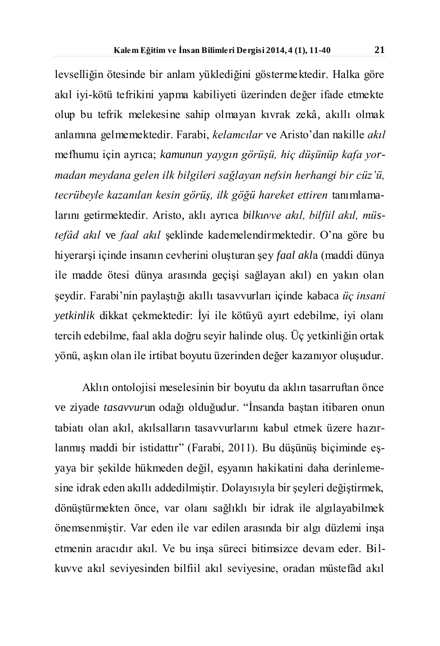levselliğin ötesinde bir anlam yüklediğini göstermektedir. Halka göre akıl iyi-kötü tefrikini yapma kabiliyeti üzerinden değer ifade etmekte olup bu tefrik melekesine sahip olmayan kıvrak zekâ, akıllı olmak anlamına gelmemektedir. Farabi, *kelamcılar* ve Aristo'dan nakille *akıl* mefhumu için ayrıca; *kamunun yaygın görüşü, hiç düşünüp kafa yormadan meydana gelen ilk bilgileri sağlayan nefsin herhangi bir cüz'ü, tecrübeyle kazanılan kesin görüş, ilk göğü hareket ettiren* tanımlamalarını getirmektedir. Aristo, aklı ayrıca *bilkuvve akıl, bilfiil akıl, müstefâd akıl* ve *faal akıl* şeklinde kademelendirmektedir. O'na göre bu hiyerarşi içinde insanın cevherini oluşturan şey *faal akl*a (maddi dünya ile madde ötesi dünya arasında geçişi sağlayan akıl) en yakın olan şeydir. Farabi'nin paylaştığı akıllı tasavvurları içinde kabaca *üç insani yetkinlik* dikkat çekmektedir: İyi ile kötüyü ayırt edebilme, iyi olanı tercih edebilme, faal akla doğru seyir halinde oluş. Üç yetkinliğin ortak yönü, aşkın olan ile irtibat boyutu üzerinden değer kazanıyor oluşudur.

Aklın ontolojisi meselesinin bir boyutu da aklın tasarruftan önce ve ziyade *tasavvur*un odağı olduğudur. "İnsanda baştan itibaren onun tabiatı olan akıl, akılsalların tasavvurlarını kabul etmek üzere hazırlanmış maddi bir istidattır" (Farabi, 2011). Bu düşünüş biçiminde eşyaya bir şekilde hükmeden değil, eşyanın hakikatini daha derinlemesine idrak eden akıllı addedilmiştir. Dolayısıyla bir şeyleri değiştirmek, dönüştürmekten önce, var olanı sağlıklı bir idrak ile algılayabilmek önemsenmiştir. Var eden ile var edilen arasında bir algı düzlemi inşa etmenin aracıdır akıl. Ve bu inşa süreci bitimsizce devam eder. Bilkuvve akıl seviyesinden bilfiil akıl seviyesine, oradan müstefâd akıl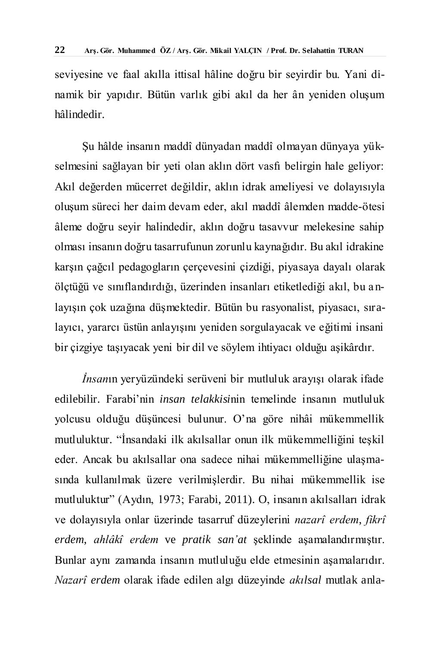seviyesine ve faal akılla ittisal hâline doğru bir seyirdir bu. Yani dinamik bir yapıdır. Bütün varlık gibi akıl da her ân yeniden oluşum hâlindedir.

Şu hâlde insanın maddî dünyadan maddî olmayan dünyaya yükselmesini sağlayan bir yeti olan aklın dört vasfı belirgin hale geliyor: Akıl değerden mücerret değildir, aklın idrak ameliyesi ve dolayısıyla oluşum süreci her daim devam eder, akıl maddî âlemden madde-ötesi âleme doğru seyir halindedir, aklın doğru tasavvur melekesine sahip olması insanın doğru tasarrufunun zorunlu kaynağıdır. Bu akıl idrakine karşın çağcıl pedagogların çerçevesini çizdiği, piyasaya dayalı olarak ölçtüğü ve sınıflandırdığı, üzerinden insanları etiketlediği akıl, bu a nlayışın çok uzağına düşmektedir. Bütün bu rasyonalist, piyasacı, sıralayıcı, yararcı üstün anlayışını yeniden sorgulayacak ve eğitimi insani bir çizgiye taşıyacak yeni bir dil ve söylem ihtiyacı olduğu aşikârdır.

*İnsan*ın yeryüzündeki serüveni bir mutluluk arayışı olarak ifade edilebilir. Farabi'nin *insan telakkisi*nin temelinde insanın mutluluk yolcusu olduğu düşüncesi bulunur. O'na göre nihâi mükemmellik mutluluktur. "İnsandaki ilk akılsallar onun ilk mükemmelliğini teşkil eder. Ancak bu akılsallar ona sadece nihai mükemmelliğine ulaşmasında kullanılmak üzere verilmişlerdir. Bu nihai mükemmellik ise mutluluktur" (Aydın, 1973; Farabi, 2011). O, insanın akılsalları idrak ve dolayısıyla onlar üzerinde tasarruf düzeylerini *nazarî erdem*, *fikrî erdem*, *ahlâkî erdem* ve *pratik san'at* şeklinde aşamalandırmıştır. Bunlar aynı zamanda insanın mutluluğu elde etmesinin aşamalarıdır. *Nazarî erdem* olarak ifade edilen algı düzeyinde *akılsal* mutlak anla-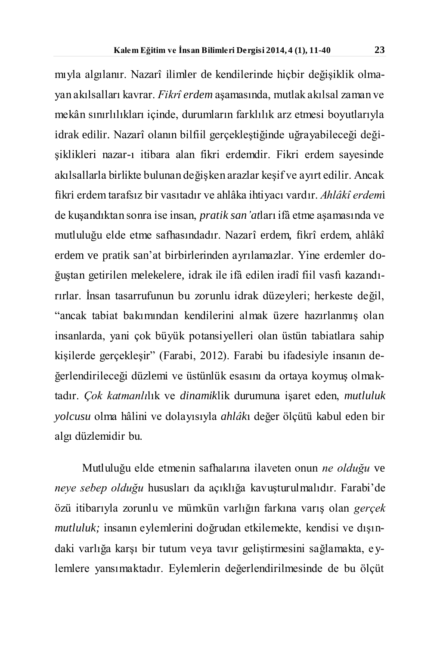mıyla algılanır. Nazarî ilimler de kendilerinde hiçbir değişiklik olmayan akılsalları kavrar. *Fikrî erdem* aşamasında, mutlak akılsal zaman ve mekân sınırlılıkları içinde, durumların farklılık arz etmesi boyutlarıyla idrak edilir. Nazarî olanın bilfiil gerçekleştiğinde uğrayabileceği değişiklikleri nazar-ı itibara alan fikri erdemdir. Fikri erdem sayesinde akılsallarla birlikte bulunan değişken arazlar keşif ve ayırt edilir. Ancak fikri erdem tarafsız bir vasıtadır ve ahlâka ihtiyacı vardır. *Ahlâkî erdem*i de kuşandıktan sonra ise insan, *pratik san'at*ları ifâ etme aşamasında ve mutluluğu elde etme safhasındadır. Nazarî erdem, fikrî erdem, ahlâkî erdem ve pratik san'at birbirlerinden ayrılamazlar. Yine erdemler doğuştan getirilen melekelere, idrak ile ifâ edilen iradî fiil vasfı kazandırırlar. İnsan tasarrufunun bu zorunlu idrak düzeyleri; herkeste değil, "ancak tabiat bakımından kendilerini almak üzere hazırlanmış olan insanlarda, yani çok büyük potansiyelleri olan üstün tabiatlara sahip kişilerde gerçekleşir" (Farabi, 2012). Farabi bu ifadesiyle insanın değerlendirileceği düzlemi ve üstünlük esasını da ortaya koymuş olmaktadır. *Çok katmanlı*lık ve *dinamik*lik durumuna işaret eden, *mutluluk yolcusu* olma hâlini ve dolayısıyla *ahlâk*ı değer ölçütü kabul eden bir algı düzlemidir bu.

Mutluluğu elde etmenin safhalarına ilaveten onun *ne olduğu* ve *neye sebep olduğu* hususları da açıklığa kavuşturulmalıdır. Farabi'de özü itibarıyla zorunlu ve mümkün varlığın farkına varış olan *gerçek mutluluk;* insanın eylemlerini doğrudan etkilemekte, kendisi ve dışındaki varlığa karşı bir tutum veya tavır geliştirmesini sağlamakta, e ylemlere yansımaktadır. Eylemlerin değerlendirilmesinde de bu ölçüt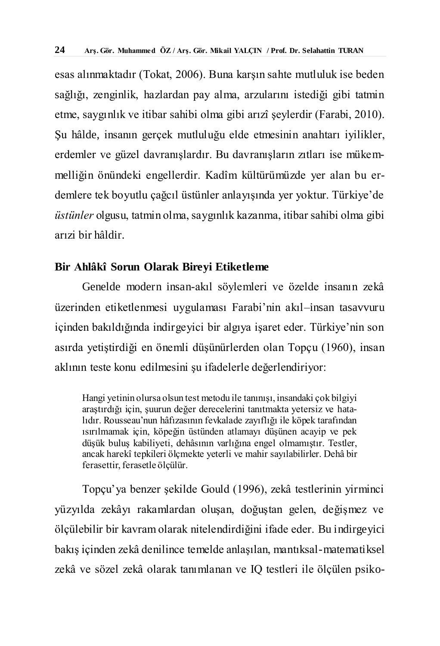esas alınmaktadır (Tokat, 2006). Buna karşın sahte mutluluk ise beden sağlığı, zenginlik, hazlardan pay alma, arzularını istediği gibi tatmin etme, saygınlık ve itibar sahibi olma gibi arızî şeylerdir (Farabi, 2010). Şu hâlde, insanın gerçek mutluluğu elde etmesinin anahtarı iyilikler, erdemler ve güzel davranışlardır. Bu davranışların zıtları ise mükemmelliğin önündeki engellerdir. Kadîm kültürümüzde yer alan bu erdemlere tek boyutlu çağcıl üstünler anlayışında yer yoktur. Türkiye'de *üstünler* olgusu, tatmin olma, saygınlık kazanma, itibar sahibi olma gibi arızi bir hâldir.

#### **Bir Ahlâkî Sorun Olarak Bireyi Etiketleme**

Genelde modern insan-akıl söylemleri ve özelde insanın zekâ üzerinden etiketlenmesi uygulaması Farabi'nin akıl–insan tasavvuru içinden bakıldığında indirgeyici bir algıya işaret eder. Türkiye'nin son asırda yetiştirdiği en önemli düşünürlerden olan Topçu (1960), insan aklının teste konu edilmesini şu ifadelerle değerlendiriyor:

Hangi yetinin olursa olsun test metodu ile tanınışı, insandaki çok bilgiyi araştırdığı için, şuurun değer derecelerini tanıtmakta yetersiz ve hatalıdır. Rousseau'nun hâfızasının fevkalade zayıflığı ile köpek tarafından ısırılmamak için, köpeğin üstünden atlamayı düşünen acayip ve pek düşük buluş kabiliyeti, dehâsının varlığına engel olmamıştır. Testler, ancak harekî tepkileri ölçmekte yeterli ve mahir sayılabilirler. Dehâ bir ferasettir, ferasetle ölçülür.

Topçu'ya benzer şekilde Gould (1996), zekâ testlerinin yirminci yüzyılda zekâyı rakamlardan oluşan, doğuştan gelen, değişmez ve ölçülebilir bir kavram olarak nitelendirdiğini ifade eder. Bu indirgeyici bakış içinden zekâ denilince temelde anlaşılan, mantıksal-matematiksel zekâ ve sözel zekâ olarak tanımlanan ve IQ testleri ile ölçülen psiko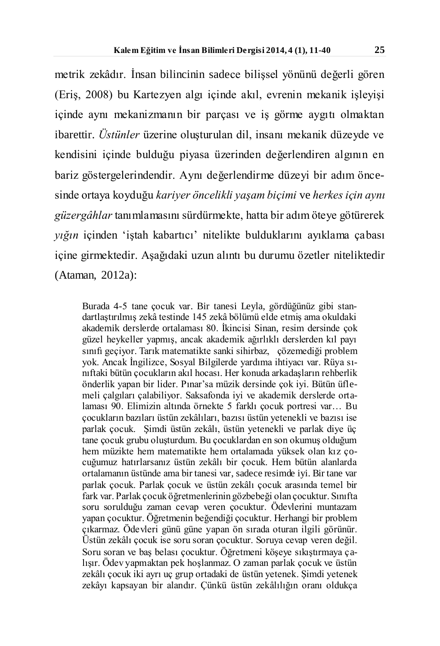metrik zekâdır. İnsan bilincinin sadece bilişsel yönünü değerli gören (Eriş, 2008) bu Kartezyen algı içinde akıl, evrenin mekanik işleyişi içinde aynı mekanizmanın bir parçası ve iş görme aygıtı olmaktan ibarettir. *Üstünler* üzerine oluşturulan dil, insanı mekanik düzeyde ve kendisini içinde bulduğu piyasa üzerinden değerlendiren algının en bariz göstergelerindendir. Aynı değerlendirme düzeyi bir adım öncesinde ortaya koyduğu *kariyer öncelikli yaşam biçimi* ve *herkes için aynı güzergâhlar* tanımlamasını sürdürmekte, hatta bir adım öteye götürerek *yığın* içinden 'iştah kabartıcı' nitelikte bulduklarını ayıklama çabası içine girmektedir. Aşağıdaki uzun alıntı bu durumu özetler niteliktedir (Ataman, 2012a):

Burada 4-5 tane çocuk var. Bir tanesi Leyla, gördüğünüz gibi standartlaştırılmış zekâ testinde 145 zekâ bölümü elde etmiş ama okuldaki akademik derslerde ortalaması 80. İkincisi Sinan, resim dersinde çok güzel heykeller yapmış, ancak akademik ağırlıklı derslerden kıl payı sınıfı geçiyor. Tarık matematikte sanki sihirbaz, çözemediği problem yok. Ancak İngilizce, Sosyal Bilgilerde yardıma ihtiyacı var. Rüya sınıftaki bütün çocukların akıl hocası. Her konuda arkadaşların rehberlik önderlik yapan bir lider. Pınar'sa müzik dersinde çok iyi. Bütün üflemeli çalgıları çalabiliyor. Saksafonda iyi ve akademik derslerde ortalaması 90. Elimizin altında örnekte 5 farklı çocuk portresi var… Bu çocukların bazıları üstün zekâlıları, bazısı üstün yetenekli ve bazısı ise parlak çocuk. Şimdi üstün zekâlı, üstün yetenekli ve parlak diye üç tane çocuk grubu oluşturdum. Bu çocuklardan en son okumuş olduğum hem müzikte hem matematikte hem ortalamada yüksek olan kız çocuğumuz hatırlarsanız üstün zekâlı bir çocuk. Hem bütün alanlarda ortalamanın üstünde ama bir tanesi var, sadece resimde iyi. Bir tane var parlak çocuk. Parlak çocuk ve üstün zekâlı çocuk arasında temel bir fark var. Parlak çocuk öğretmenlerinin gözbebeği olan çocuktur. Sınıfta soru sorulduğu zaman cevap veren çocuktur. Ödevlerini muntazam yapan çocuktur. Öğretmenin beğendiği çocuktur. Herhangi bir problem çıkarmaz. Ödevleri günü güne yapan ön sırada oturan ilgili görünür. Üstün zekâlı çocuk ise soru soran çocuktur. Soruya cevap veren değil. Soru soran ve baş belası çocuktur. Öğretmeni köşeye sıkıştırmaya çalışır. Ödev yapmaktan pek hoşlanmaz. O zaman parlak çocuk ve üstün zekâlı çocuk iki ayrı uç grup ortadaki de üstün yetenek. Şimdi yetenek zekâyı kapsayan bir alandır. Çünkü üstün zekâlılığın oranı oldukça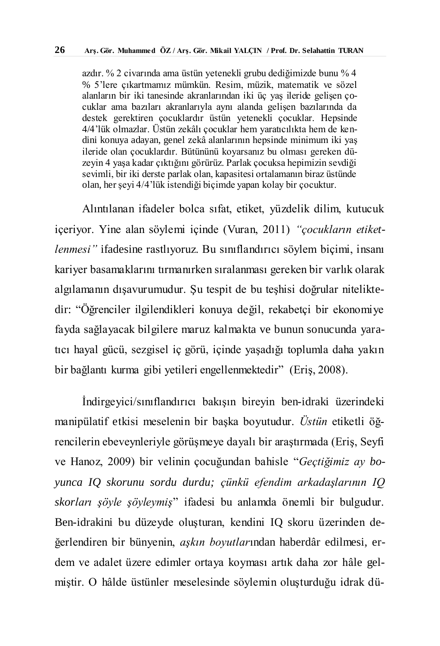azdır. % 2 civarında ama üstün yetenekli grubu dediğimizde bunu % 4 % 5'lere çıkartmamız mümkün. Resim, müzik, matematik ve sözel alanların bir iki tanesinde akranlarından iki üç yaş ileride gelişen çocuklar ama bazıları akranlarıyla aynı alanda gelişen bazılarında da destek gerektiren çocuklardır üstün yetenekli çocuklar. Hepsinde 4/4'lük olmazlar. Üstün zekâlı çocuklar hem yaratıcılıkta hem de kendini konuya adayan, genel zekâ alanlarının hepsinde minimum iki yaş ileride olan çocuklardır. Bütününü koyarsanız bu olması gereken düzeyin 4 yaşa kadar çıktığını görürüz. Parlak çocuksa hepimizin sevdiği sevimli, bir iki derste parlak olan, kapasitesi ortalamanın biraz üstünde olan, her şeyi 4/4'lük istendiği biçimde yapan kolay bir çocuktur.

Alıntılanan ifadeler bolca sıfat, etiket, yüzdelik dilim, kutucuk içeriyor. Yine alan söylemi içinde (Vuran, 2011) *"çocukların etiketlenmesi"* ifadesine rastlıyoruz. Bu sınıflandırıcı söylem biçimi, insanı kariyer basamaklarını tırmanırken sıralanması gereken bir varlık olarak algılamanın dışavurumudur. Şu tespit de bu teşhisi doğrular niteliktedir: "Öğrenciler ilgilendikleri konuya değil, rekabetçi bir ekonomiye fayda sağlayacak bilgilere maruz kalmakta ve bunun sonucunda yaratıcı hayal gücü, sezgisel iç görü, içinde yaşadığı toplumla daha yakın bir bağlantı kurma gibi yetileri engellenmektedir" (Eriş, 2008).

İndirgeyici/sınıflandırıcı bakışın bireyin ben-idraki üzerindeki manipülatif etkisi meselenin bir başka boyutudur. *Üstün* etiketli öğrencilerin ebeveynleriyle görüşmeye dayalı bir araştırmada (Eriş, Seyfi ve Hanoz, 2009) bir velinin çocuğundan bahisle "*Geçtiğimiz ay boyunca IQ skorunu sordu durdu; çünkü efendim arkadaşlarının IQ skorları şöyle şöyleymiş*" ifadesi bu anlamda önemli bir bulgudur. Ben-idrakini bu düzeyde oluşturan, kendini IQ skoru üzerinden değerlendiren bir bünyenin, *aşkın boyutlar*ından haberdâr edilmesi, erdem ve adalet üzere edimler ortaya koyması artık daha zor hâle gelmiştir. O hâlde üstünler meselesinde söylemin oluşturduğu idrak dü-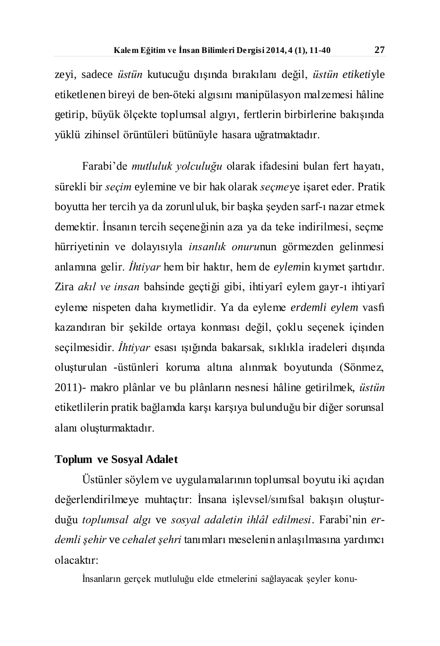zeyi, sadece *üstün* kutucuğu dışında bırakılanı değil, *üstün etiketi*yle etiketlenen bireyi de ben-öteki algısını manipülasyon malzemesi hâline getirip, büyük ölçekte toplumsal algıyı, fertlerin birbirlerine bakışında yüklü zihinsel örüntüleri bütünüyle hasara uğratmaktadır.

Farabi'de *mutluluk yolculuğu* olarak ifadesini bulan fert hayatı, sürekli bir *seçim* eylemine ve bir hak olarak *seçme*ye işaret eder. Pratik boyutta her tercih ya da zorunluluk, bir başka şeyden sarf-ı nazar etmek demektir. İnsanın tercih seçeneğinin aza ya da teke indirilmesi, seçme hürriyetinin ve dolayısıyla *insanlık onuru*nun görmezden gelinmesi anlamına gelir. *İhtiyar* hem bir haktır, hem de *eylem*in kıymet şartıdır. Zira *akıl ve insan* bahsinde geçtiği gibi, ihtiyarî eylem gayr-ı ihtiyarî eyleme nispeten daha kıymetlidir. Ya da eyleme *erdemli eylem* vasfı kazandıran bir şekilde ortaya konması değil, çoklu seçenek içinden seçilmesidir. *İhtiyar* esası ışığında bakarsak, sıklıkla iradeleri dışında oluşturulan -üstünleri koruma altına alınmak boyutunda (Sönmez, 2011)- makro plânlar ve bu plânların nesnesi hâline getirilmek, *üstün* etiketlilerin pratik bağlamda karşı karşıya bulunduğu bir diğer sorunsal alanı oluşturmaktadır.

#### **Toplum ve Sosyal Adalet**

Üstünler söylem ve uygulamalarının toplumsal boyutu iki açıdan değerlendirilmeye muhtaçtır: İnsana işlevsel/sınıfsal bakışın oluşturduğu *toplumsal algı* ve *sosyal adaletin ihlâl edilmesi*. Farabi'nin *erdemli şehir* ve *cehalet şehri* tanımları meselenin anlaşılmasına yardımcı olacaktır:

İnsanların gerçek mutluluğu elde etmelerini sağlayacak şeyler konu-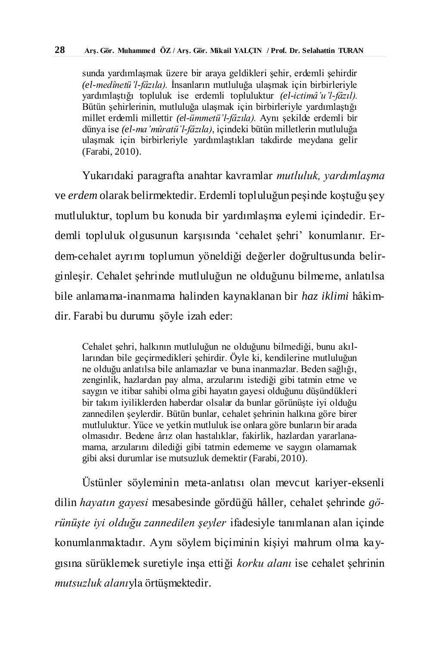sunda yardımlaşmak üzere bir araya geldikleri şehir, erdemli şehirdir *(el-medînetü'l-fâzıla).* İnsanların mutluluğa ulaşmak için birbirleriyle yardımlaştığı topluluk ise erdemli topluluktur *(el-ictimâ'u'l-fâzıl).* Bütün şehirlerinin, mutluluğa ulaşmak için birbirleriyle yardımlaştığı millet erdemli millettir *(el-ümmetü'l-fâzıla).* Aynı şekilde erdemli bir dünya ise *(el-ma'mûratü'l-fâzıla)*, içindeki bütün milletlerin mutluluğa ulaşmak için birbirleriyle yardımlaştıkları takdirde meydana gelir (Farabi, 2010).

Yukarıdaki paragrafta anahtar kavramlar *mutluluk, yardımlaşma*  ve *erdem* olarak belirmektedir. Erdemli topluluğun peşinde koştuğu şey mutluluktur, toplum bu konuda bir yardımlaşma eylemi içindedir. Erdemli topluluk olgusunun karşısında 'cehalet şehri' konumlanır. Erdem-cehalet ayrımı toplumun yöneldiği değerler doğrultusunda belirginleşir. Cehalet şehrinde mutluluğun ne olduğunu bilmeme, anlatılsa bile anlamama-inanmama halinden kaynaklanan bir *haz iklimi* hâkimdir. Farabi bu durumu şöyle izah eder:

Cehalet şehri, halkının mutluluğun ne olduğunu bilmediği, bunu akıllarından bile geçirmedikleri şehirdir. Öyle ki, kendilerine mutluluğun ne olduğu anlatılsa bile anlamazlar ve buna inanmazlar. Beden sağlığı, zenginlik, hazlardan pay alma, arzularını istediği gibi tatmin etme ve saygın ve itibar sahibi olma gibi hayatın gayesi olduğunu düşündükleri bir takım iyiliklerden haberdar olsalar da bunlar görünüşte iyi olduğu zannedilen şeylerdir. Bütün bunlar, cehalet şehrinin halkına göre birer mutluluktur. Yüce ve yetkin mutluluk ise onlara göre bunların bir arada olmasıdır. Bedene ârız olan hastalıklar, fakirlik, hazlardan yararlanamama, arzularını dilediği gibi tatmin edememe ve saygın olamamak gibi aksi durumlar ise mutsuzluk demektir (Farabi, 2010).

Üstünler söyleminin meta-anlatısı olan mevcut kariyer-eksenli dilin *hayatın gayesi* mesabesinde gördüğü hâller, cehalet şehrinde *görünüşte iyi olduğu zannedilen şeyler* ifadesiyle tanımlanan alan içinde konumlanmaktadır. Aynı söylem biçiminin kişiyi mahrum olma kaygısına sürüklemek suretiyle inşa ettiği *korku alanı* ise cehalet şehrinin *mutsuzluk alanı*yla örtüşmektedir.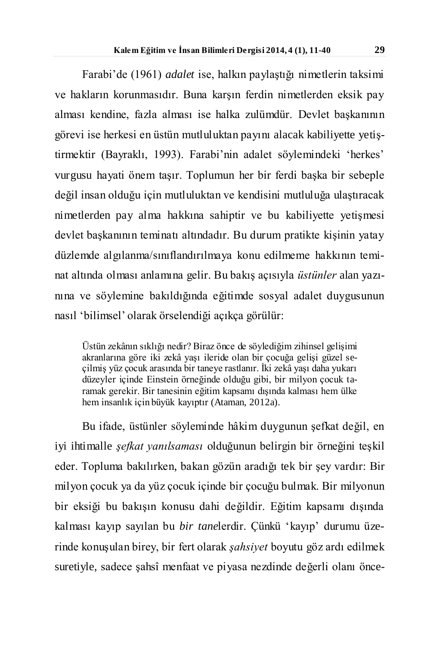Farabi'de (1961) *adalet* ise, halkın paylaştığı nimetlerin taksimi ve hakların korunmasıdır. Buna karşın ferdin nimetlerden eksik pay alması kendine, fazla alması ise halka zulümdür. Devlet başkanının görevi ise herkesi en üstün mutluluktan payını alacak kabiliyette yetiştirmektir (Bayraklı, 1993). Farabi'nin adalet söylemindeki 'herkes' vurgusu hayati önem taşır. Toplumun her bir ferdi başka bir sebeple değil insan olduğu için mutluluktan ve kendisini mutluluğa ulaştıracak nimetlerden pay alma hakkına sahiptir ve bu kabiliyette yetişmesi devlet başkanının teminatı altındadır. Bu durum pratikte kişinin yatay düzlemde algılanma/sınıflandırılmaya konu edilmeme hakkının teminat altında olması anlamına gelir. Bu bakış açısıyla *üstünler* alan yazınına ve söylemine bakıldığında eğitimde sosyal adalet duygusunun nasıl 'bilimsel' olarak örselendiği açıkça görülür:

Üstün zekânın sıklığı nedir? Biraz önce de söylediğim zihinsel gelişimi akranlarına göre iki zekâ yaşı ileride olan bir çocuğa gelişi güzel seçilmiş yüz çocuk arasında bir taneye rastlanır. İki zekâ yaşı daha yukarı düzeyler içinde Einstein örneğinde olduğu gibi, bir milyon çocuk taramak gerekir. Bir tanesinin eğitim kapsamı dışında kalması hem ülke hem insanlık için büyük kayıptır (Ataman, 2012a).

Bu ifade, üstünler söyleminde hâkim duygunun şefkat değil, en iyi ihtimalle *şefkat yanılsaması* olduğunun belirgin bir örneğini teşkil eder. Topluma bakılırken, bakan gözün aradığı tek bir şey vardır: Bir milyon çocuk ya da yüz çocuk içinde bir çocuğu bulmak. Bir milyonun bir eksiği bu bakışın konusu dahi değildir. Eğitim kapsamı dışında kalması kayıp sayılan bu *bir tane*lerdir. Çünkü 'kayıp' durumu üzerinde konuşulan birey, bir fert olarak *şahsiyet* boyutu göz ardı edilmek suretiyle, sadece şahsî menfaat ve piyasa nezdinde değerli olanı önce-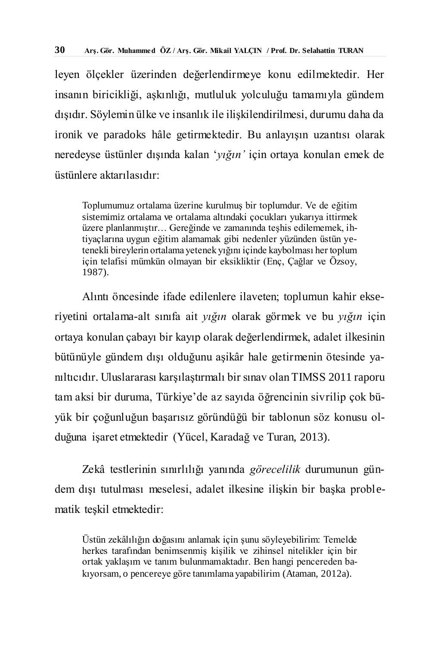leyen ölçekler üzerinden değerlendirmeye konu edilmektedir. Her insanın biricikliği, aşkınlığı, mutluluk yolculuğu tamamıyla gündem dışıdır. Söylemin ülke ve insanlık ile ilişkilendirilmesi, durumu daha da ironik ve paradoks hâle getirmektedir. Bu anlayışın uzantısı olarak neredeyse üstünler dışında kalan '*yığın'* için ortaya konulan emek de üstünlere aktarılasıdır:

Toplumumuz ortalama üzerine kurulmuş bir toplumdur. Ve de eğitim sistemimiz ortalama ve ortalama altındaki çocukları yukarıya ittirmek üzere planlanmıştır… Gereğinde ve zamanında teşhis edilememek, ihtiyaçlarına uygun eğitim alamamak gibi nedenler yüzünden üstün yetenekli bireylerin ortalama yetenek yığını içinde kaybolması her toplum için telafisi mümkün olmayan bir eksikliktir (Enç, Çağlar ve Özsoy, 1987).

Alıntı öncesinde ifade edilenlere ilaveten; toplumun kahir ekseriyetini ortalama-alt sınıfa ait *yığın* olarak görmek ve bu *yığın* için ortaya konulan çabayı bir kayıp olarak değerlendirmek, adalet ilkesinin bütünüyle gündem dışı olduğunu aşikâr hale getirmenin ötesinde yanıltıcıdır. Uluslararası karşılaştırmalı bir sınav olan TIMSS 2011 raporu tam aksi bir duruma, Türkiye'de az sayıda öğrencinin sivrilip çok büyük bir çoğunluğun başarısız göründüğü bir tablonun söz konusu olduğuna işaret etmektedir (Yücel, Karadağ ve Turan, 2013).

Zekâ testlerinin sınırlılığı yanında *görecelilik* durumunun gündem dışı tutulması meselesi, adalet ilkesine ilişkin bir başka problematik teşkil etmektedir:

Üstün zekâlılığın doğasını anlamak için şunu söyleyebilirim: Temelde herkes tarafından benimsenmiş kişilik ve zihinsel nitelikler için bir ortak yaklaşım ve tanım bulunmamaktadır. Ben hangi pencereden bakıyorsam, o pencereye göre tanımlama yapabilirim (Ataman, 2012a).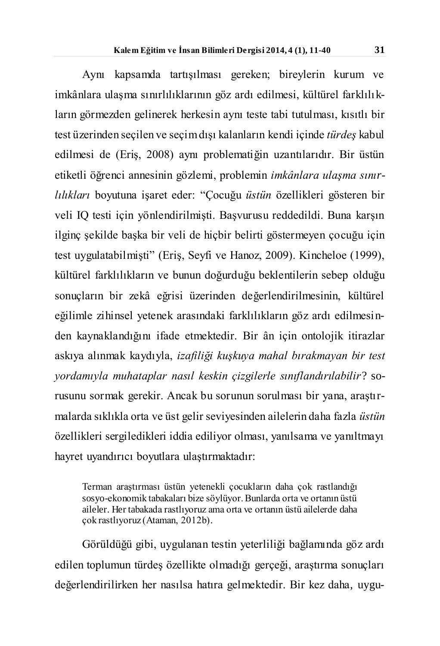Aynı kapsamda tartışılması gereken; bireylerin kurum ve imkânlara ulaşma sınırlılıklarının göz ardı edilmesi, kültürel farklılıkların görmezden gelinerek herkesin aynı teste tabi tutulması, kısıtlı bir test üzerinden seçilen ve seçim dışı kalanların kendi içinde *türdeş* kabul edilmesi de (Eriş, 2008) aynı problematiğin uzantılarıdır. Bir üstün etiketli öğrenci annesinin gözlemi, problemin *imkânlara ulaşma sınırlılıkları* boyutuna işaret eder: "Çocuğu *üstün* özellikleri gösteren bir veli IQ testi için yönlendirilmişti. Başvurusu reddedildi. Buna karşın ilginç şekilde başka bir veli de hiçbir belirti göstermeyen çocuğu için test uygulatabilmişti" (Eriş, Seyfi ve Hanoz, 2009). Kincheloe (1999), kültürel farklılıkların ve bunun doğurduğu beklentilerin sebep olduğu sonuçların bir zekâ eğrisi üzerinden değerlendirilmesinin, kültürel eğilimle zihinsel yetenek arasındaki farklılıkların göz ardı edilmesinden kaynaklandığını ifade etmektedir. Bir ân için ontolojik itirazlar askıya alınmak kaydıyla, *izafiliği kuşkuya mahal bırakmayan bir test yordamıyla muhataplar nasıl keskin çizgilerle sınıflandırılabilir*? sorusunu sormak gerekir. Ancak bu sorunun sorulması bir yana, araştırmalarda sıklıkla orta ve üst gelir seviyesinden ailelerin daha fazla *üstün* özellikleri sergiledikleri iddia ediliyor olması, yanılsama ve yanıltmayı hayret uyandırıcı boyutlara ulaştırmaktadır:

Terman araştırması üstün yetenekli çocukların daha çok rastlandığı sosyo-ekonomik tabakaları bize söylüyor. Bunlarda orta ve ortanın üstü aileler. Her tabakada rastlıyoruz ama orta ve ortanın üstü ailelerde daha çok rastlıyoruz (Ataman, 2012b).

Görüldüğü gibi, uygulanan testin yeterliliği bağlamında göz ardı edilen toplumun türdeş özellikte olmadığı gerçeği, araştırma sonuçları değerlendirilirken her nasılsa hatıra gelmektedir. Bir kez daha, uygu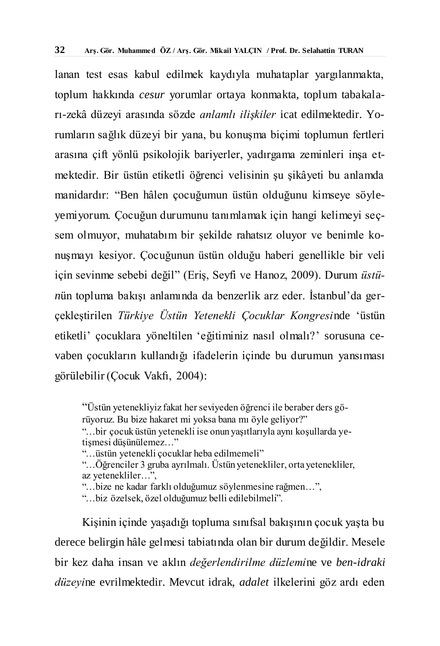lanan test esas kabul edilmek kaydıyla muhataplar yargılanmakta, toplum hakkında *cesur* yorumlar ortaya konmakta, toplum tabakaları-zekâ düzeyi arasında sözde *anlamlı ilişkiler* icat edilmektedir. Yorumların sağlık düzeyi bir yana, bu konuşma biçimi toplumun fertleri arasına çift yönlü psikolojik bariyerler, yadırgama zeminleri inşa etmektedir. Bir üstün etiketli öğrenci velisinin şu şikâyeti bu anlamda manidardır: "Ben hâlen çocuğumun üstün olduğunu kimseye söyleyemiyorum. Çocuğun durumunu tanımlamak için hangi kelimeyi seçsem olmuyor, muhatabım bir şekilde rahatsız oluyor ve benimle konuşmayı kesiyor. Çocuğunun üstün olduğu haberi genellikle bir veli için sevinme sebebi değil" (Eriş, Seyfi ve Hanoz, 2009). Durum *üstün*ün topluma bakışı anlamında da benzerlik arz eder. İstanbul'da gerçekleştirilen *Türkiye Üstün Yetenekli Çocuklar Kongresi*nde 'üstün etiketli' çocuklara yöneltilen 'eğitiminiz nasıl olmalı?' sorusuna cevaben çocukların kullandığı ifadelerin içinde bu durumun yansıması görülebilir (Çocuk Vakfı, 2004):

"Üstün yetenekliyiz fakat her seviyeden öğrenci ile beraber ders görüyoruz. Bu bize hakaret mi yoksa bana mı öyle geliyor?" "…bir çocuk üstün yetenekli ise onun yaşıtlarıyla aynı koşullarda yetişmesi düşünülemez…"

"…üstün yetenekli çocuklar heba edilmemeli"

"…Öğrenciler 3 gruba ayrılmalı. Üstün yetenekliler, orta yetenekliler, az yetenekliler…",

"…bize ne kadar farklı olduğumuz söylenmesine rağmen…",

"…biz özelsek, özel olduğumuz belli edilebilmeli".

Kişinin içinde yaşadığı topluma sınıfsal bakışının çocuk yaşta bu derece belirgin hâle gelmesi tabiatında olan bir durum değildir. Mesele bir kez daha insan ve aklın *değerlendirilme düzlemi*ne ve *ben-idraki düzeyi*ne evrilmektedir. Mevcut idrak, *adalet* ilkelerini göz ardı eden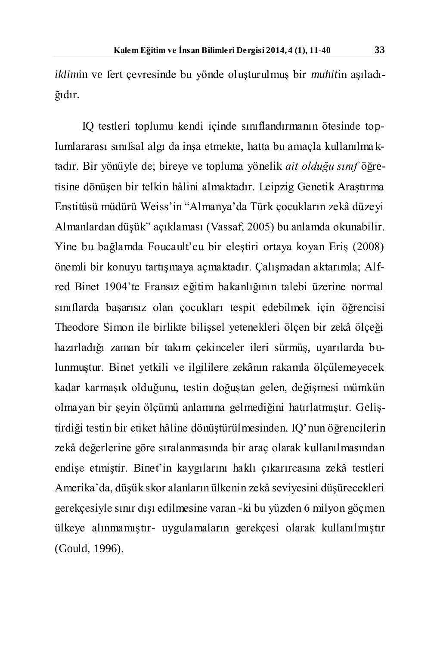*iklim*in ve fert çevresinde bu yönde oluşturulmuş bir *muhit*in aşıladığıdır.

IQ testleri toplumu kendi içinde sınıflandırmanın ötesinde toplumlararası sınıfsal algı da inşa etmekte, hatta bu amaçla kullanılma ktadır. Bir yönüyle de; bireye ve topluma yönelik *ait olduğu sınıf* öğretisine dönüşen bir telkin hâlini almaktadır. Leipzig Genetik Araştırma Enstitüsü müdürü Weiss'in "Almanya'da Türk çocukların zekâ düzeyi Almanlardan düşük" açıklaması (Vassaf, 2005) bu anlamda okunabilir. Yine bu bağlamda Foucault'cu bir eleştiri ortaya koyan Eriş (2008) önemli bir konuyu tartışmaya açmaktadır. Çalışmadan aktarımla; Alfred Binet 1904'te Fransız eğitim bakanlığının talebi üzerine normal sınıflarda başarısız olan çocukları tespit edebilmek için öğrencisi Theodore Simon ile birlikte bilişsel yetenekleri ölçen bir zekâ ölçeği hazırladığı zaman bir takım çekinceler ileri sürmüş, uyarılarda bulunmuştur. Binet yetkili ve ilgililere zekânın rakamla ölçülemeyecek kadar karmaşık olduğunu, testin doğuştan gelen, değişmesi mümkün olmayan bir şeyin ölçümü anlamına gelmediğini hatırlatmıştır. Geliştirdiği testin bir etiket hâline dönüştürülmesinden, IQ'nun öğrencilerin zekâ değerlerine göre sıralanmasında bir araç olarak kullanılmasından endişe etmiştir. Binet'in kaygılarını haklı çıkarırcasına zekâ testleri Amerika'da, düşük skor alanların ülkenin zekâ seviyesini düşürecekleri gerekçesiyle sınır dışı edilmesine varan -ki bu yüzden 6 milyon göçmen ülkeye alınmamıştır- uygulamaların gerekçesi olarak kullanılmıştır (Gould, 1996).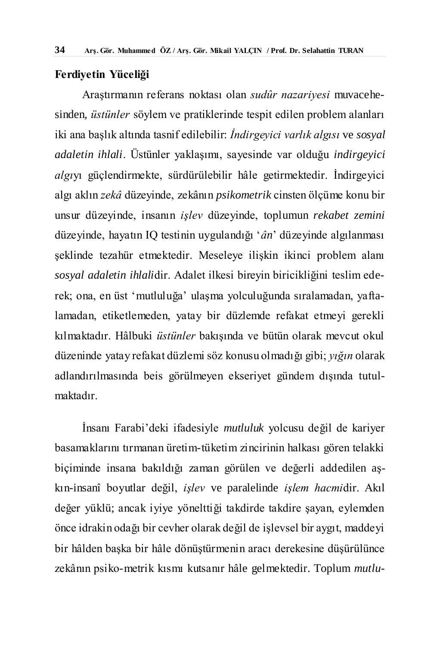#### **Ferdiyetin Yüceliği**

Araştırmanın referans noktası olan *sudûr nazariyesi* muvacehesinden, *üstünler* söylem ve pratiklerinde tespit edilen problem alanları iki ana başlık altında tasnif edilebilir: *İndirgeyici varlık algısı* ve *sosyal adaletin ihlali*. Üstünler yaklaşımı, sayesinde var olduğu *indirgeyici algı*yı güçlendirmekte, sürdürülebilir hâle getirmektedir. İndirgeyici algı aklın *zekâ* düzeyinde, zekânın *psikometrik* cinsten ölçüme konu bir unsur düzeyinde, insanın *işlev* düzeyinde, toplumun *rekabet zemini* düzeyinde, hayatın IQ testinin uygulandığı '*ân*' düzeyinde algılanması şeklinde tezahür etmektedir. Meseleye ilişkin ikinci problem alanı *sosyal adaletin ihlali*dir. Adalet ilkesi bireyin biricikliğini teslim ederek; ona, en üst 'mutluluğa' ulaşma yolculuğunda sıralamadan, yaftalamadan, etiketlemeden, yatay bir düzlemde refakat etmeyi gerekli kılmaktadır. Hâlbuki *üstünler* bakışında ve bütün olarak mevcut okul düzeninde yatay refakat düzlemi söz konusu olmadığı gibi; *yığın* olarak adlandırılmasında beis görülmeyen ekseriyet gündem dışında tutulmaktadır.

İnsanı Farabi'deki ifadesiyle *mutluluk* yolcusu değil de kariyer basamaklarını tırmanan üretim-tüketim zincirinin halkası gören telakki biçiminde insana bakıldığı zaman görülen ve değerli addedilen aşkın-insanî boyutlar değil, *işlev* ve paralelinde *işlem hacmi*dir. Akıl değer yüklü; ancak iyiye yönelttiği takdirde takdire şayan, eylemden önce idrakin odağı bir cevher olarak değil de işlevsel bir aygıt, maddeyi bir hâlden başka bir hâle dönüştürmenin aracı derekesine düşürülünce zekânın psiko-metrik kısmı kutsanır hâle gelmektedir. Toplum *mutlu-*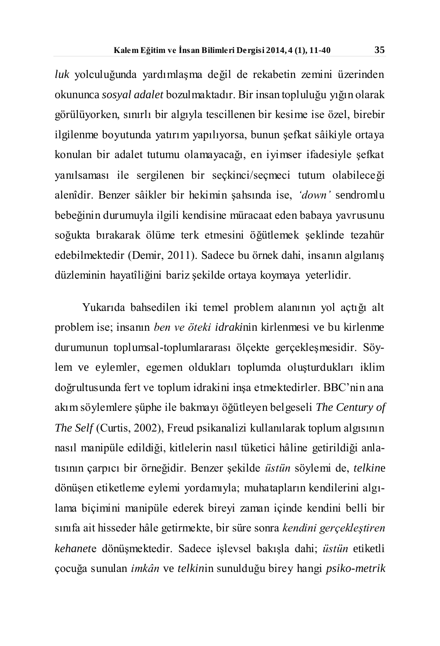*luk* yolculuğunda yardımlaşma değil de rekabetin zemini üzerinden okununca *sosyal adalet* bozulmaktadır. Bir insan topluluğu yığın olarak görülüyorken, sınırlı bir algıyla tescillenen bir kesime ise özel, birebir ilgilenme boyutunda yatırım yapılıyorsa, bunun şefkat sâikiyle ortaya konulan bir adalet tutumu olamayacağı, en iyimser ifadesiyle şefkat yanılsaması ile sergilenen bir seçkinci/seçmeci tutum olabileceği alenîdir. Benzer sâikler bir hekimin şahsında ise, *'down'* sendromlu bebeğinin durumuyla ilgili kendisine müracaat eden babaya yavrusunu soğukta bırakarak ölüme terk etmesini öğütlemek şeklinde tezahür edebilmektedir (Demir, 2011). Sadece bu örnek dahi, insanın algılanış düzleminin hayatîliğini bariz şekilde ortaya koymaya yeterlidir.

Yukarıda bahsedilen iki temel problem alanının yol açtığı alt problem ise; insanın *ben ve öteki idraki*nin kirlenmesi ve bu kirlenme durumunun toplumsal-toplumlararası ölçekte gerçekleşmesidir. Söylem ve eylemler, egemen oldukları toplumda oluşturdukları iklim doğrultusunda fert ve toplum idrakini inşa etmektedirler. BBC'nin ana akım söylemlere şüphe ile bakmayı öğütleyen belgeseli *The Century of The Self* (Curtis, 2002), Freud psikanalizi kullanılarak toplum algısının nasıl manipüle edildiği, kitlelerin nasıl tüketici hâline getirildiği anlatısının çarpıcı bir örneğidir. Benzer şekilde *üstün* söylemi de, *telkin*e dönüşen etiketleme eylemi yordamıyla; muhatapların kendilerini algılama biçimini manipüle ederek bireyi zaman içinde kendini belli bir sınıfa ait hisseder hâle getirmekte, bir süre sonra *kendini gerçekleştiren kehanet*e dönüşmektedir. Sadece işlevsel bakışla dahi; *üstün* etiketli çocuğa sunulan *imkân* ve *telkin*in sunulduğu birey hangi *psiko-metrik*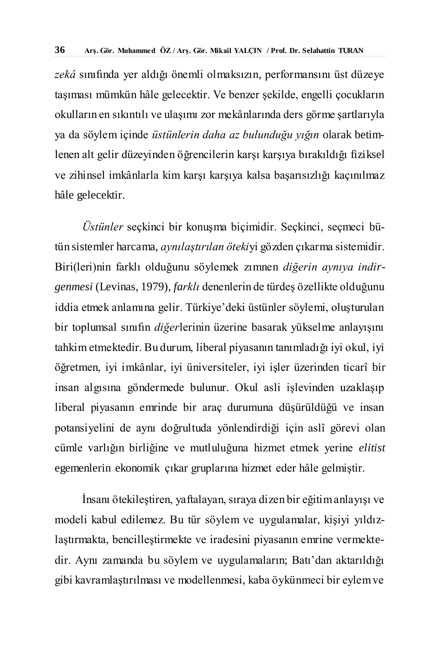*zekâ* sınıfında yer aldığı önemli olmaksızın, performansını üst düzeye taşıması mümkün hâle gelecektir. Ve benzer şekilde, engelli çocukların okulların en sıkıntılı ve ulaşımı zor mekânlarında ders görme şartlarıyla ya da söylem içinde *üstünlerin daha az bulunduğu yığın* olarak betimlenen alt gelir düzeyinden öğrencilerin karşı karşıya bırakıldığı fiziksel ve zihinsel imkânlarla kim karşı karşıya kalsa başarısızlığı kaçınılmaz hâle gelecektir.

*Üstünler* seçkinci bir konuşma biçimidir. Seçkinci, seçmeci bütün sistemler harcama, *aynılaştırılan öteki*yi gözden çıkarma sistemidir. Biri(leri)nin farklı olduğunu söylemek zımnen *diğerin aynıya indirgenmesi* (Levinas, 1979), *farklı* denenlerin de türdeş özellikte olduğunu iddia etmek anlamına gelir. Türkiye'deki üstünler söylemi, oluşturulan bir toplumsal sınıfın *diğer*lerinin üzerine basarak yükselme anlayışını tahkim etmektedir. Bu durum, liberal piyasanın tanımladığı iyi okul, iyi öğretmen, iyi imkânlar, iyi üniversiteler, iyi işler üzerinden ticarî bir insan algısına göndermede bulunur. Okul asli işlevinden uzaklaşıp liberal piyasanın emrinde bir araç durumuna düşürüldüğü ve insan potansiyelini de aynı doğrultuda yönlendirdiği için aslî görevi olan cümle varlığın birliğine ve mutluluğuna hizmet etmek yerine *elitist*  egemenlerin ekonomik çıkar gruplarına hizmet eder hâle gelmiştir.

İnsanı ötekileştiren, yaftalayan, sıraya dizen bir eğitim anlayışı ve modeli kabul edilemez. Bu tür söylem ve uygulamalar, kişiyi yıldızlaştırmakta, bencilleştirmekte ve iradesini piyasanın emrine vermektedir. Aynı zamanda bu söylem ve uygulamaların; Batı'dan aktarıldığı gibi kavramlaştırılması ve modellenmesi, kaba öykünmeci bir eylem ve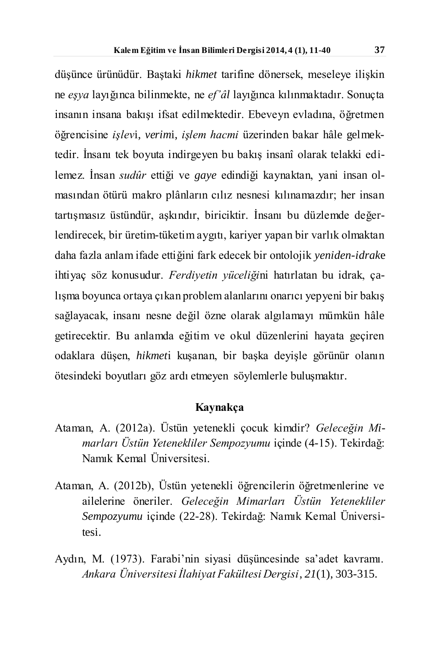düşünce ürünüdür. Baştaki *hikmet* tarifine dönersek, meseleye ilişkin ne *eşya* layığınca bilinmekte, ne *ef'âl* layığınca kılınmaktadır. Sonuçta insanın insana bakışı ifsat edilmektedir. Ebeveyn evladına, öğretmen öğrencisine *işlev*i, *verim*i, *işlem hacmi* üzerinden bakar hâle gelmektedir. İnsanı tek boyuta indirgeyen bu bakış insanî olarak telakki edilemez. İnsan *sudûr* ettiği ve *gaye* edindiği kaynaktan, yani insan olmasından ötürü makro plânların cılız nesnesi kılınamazdır; her insan tartışmasız üstündür, aşkındır, biriciktir. İnsanı bu düzlemde değerlendirecek, bir üretim-tüketim aygıtı, kariyer yapan bir varlık olmaktan daha fazla anlam ifade ettiğini fark edecek bir ontolojik *yeniden-idrak*e ihtiyaç söz konusudur. *Ferdiyetin yüceliği*ni hatırlatan bu idrak, çalışma boyunca ortaya çıkan problem alanlarını onarıcı yepyeni bir bakış sağlayacak, insanı nesne değil özne olarak algılamayı mümkün hâle getirecektir. Bu anlamda eğitim ve okul düzenlerini hayata geçiren odaklara düşen, *hikmet*i kuşanan, bir başka deyişle görünür olanın ötesindeki boyutları göz ardı etmeyen söylemlerle buluşmaktır.

## **Kaynakça**

- Ataman, A. (2012a). Üstün yetenekli çocuk kimdir? *Geleceğin Mimarları Üstün Yetenekliler Sempozyumu* içinde (4-15). Tekirdağ: Namık Kemal Üniversitesi.
- Ataman, A. (2012b), Üstün yetenekli öğrencilerin öğretmenlerine ve ailelerine öneriler. *Geleceğin Mimarları Üstün Yetenekliler Sempozyumu* içinde (22-28). Tekirdağ: Namık Kemal Üniversitesi.
- Aydın, M. (1973). Farabi'nin siyasi düşüncesinde sa'adet kavramı. *Ankara Üniversitesi İlahiyat Fakültesi Dergisi*, *21*(1), 303-315.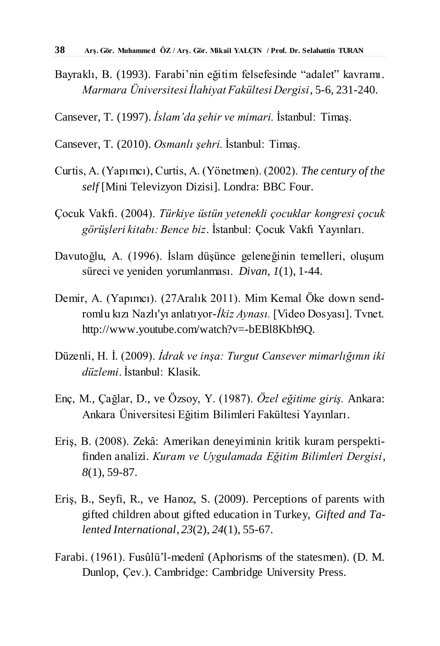- Bayraklı, B. (1993). Farabi'nin eğitim felsefesinde "adalet" kavramı. *Marmara Üniversitesi İlahiyat Fakültesi Dergisi*, 5-6, 231-240.
- Cansever, T. (1997). *İslam'da şehir ve mimari.* İstanbul: Timaş.
- Cansever, T. (2010). *Osmanlı şehri.* İstanbul: Timaş.
- Curtis, A. (Yapımcı), Curtis, A. (Yönetmen). (2002). *The century of the self* [Mini Televizyon Dizisi]. Londra: BBC Four.
- Çocuk Vakfı. (2004). *Türkiye üstün yetenekli çocuklar kongresi çocuk görüşleri kitabı: Bence biz*. İstanbul: Çocuk Vakfı Yayınları.
- Davutoğlu, A. (1996). İslam düşünce geleneğinin temelleri, oluşum süreci ve yeniden yorumlanması. *Divan*, *1*(1), 1-44.
- Demir, A. (Yapımcı). (27Aralık 2011). Mim Kemal Öke down sendromlu kızı Nazlı'yı anlatıyor-*İkiz Aynası.* [Video Dosyası]. Tvnet. http://www.youtube.com/watch?v=-bEBl8Kbh9Q.
- Düzenli, H. İ. (2009). *İdrak ve inşa: Turgut Cansever mimarlığının iki düzlemi*. İstanbul: Klasik.
- Enç, M., Çağlar, D., ve Özsoy, Y. (1987). *Özel eğitime giriş.* Ankara: Ankara Üniversitesi Eğitim Bilimleri Fakültesi Yayınları.
- Eriş, B. (2008). Zekâ: Amerikan deneyiminin kritik kuram perspektifinden analizi. *Kuram ve Uygulamada Eğitim Bilimleri Dergisi*, *8*(1), 59-87.
- Eriş, B., Seyfi, R., ve Hanoz, S. (2009). Perceptions of parents with gifted children about gifted education in Turkey, *Gifted and Talented International*, *23*(2), *24*(1), 55-67.
- Farabi. (1961). Fusûlü'l-medenî (Aphorisms of the statesmen). (D. M. Dunlop, Çev.). Cambridge: Cambridge University Press.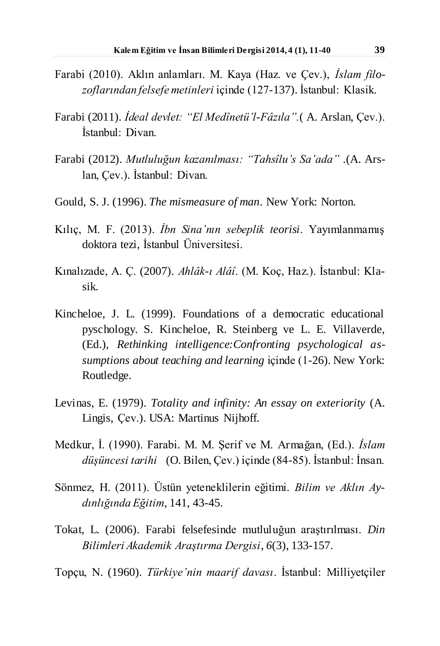- Farabi (2010). Aklın anlamları. M. Kaya (Haz. ve Çev.), *İslam filozoflarından felsefe metinleri* içinde (127-137). İstanbul: Klasik.
- Farabi (2011). *İdeal devlet: "El Medînetü'l-Fâzıla".*( A. Arslan, Çev.). İstanbul: Divan.
- Farabi (2012). *Mutluluğun kazanılması: "Tahsîlu's Sa'ada" .*(A. Arslan, Çev.)*.* İstanbul: Divan.
- Gould, S. J. (1996). *The mismeasure of man*. New York: Norton.
- Kılıç, M. F. (2013). *İbn Sina'nın sebeplik teorisi*. Yayımlanmamış doktora tezi, İstanbul Üniversitesi.
- Kınalızade, A. Ç. (2007). *Ahlâk-ı Alâî*. (M. Koç, Haz.). İstanbul: Klasik.
- Kincheloe, J. L. (1999). Foundations of a democratic educational pyschology. S. Kincheloe, R. Steinberg ve L. E. Villaverde, (Ed.), *Rethinking intelligence:Confronting psychological assumptions about teaching and learning* içinde (1-26). New York: Routledge.
- Levinas, E. (1979). *Totality and infinity: An essay on exteriority* (A. Lingis, Çev.). USA: Martinus Nijhoff.
- Medkur, İ. (1990). Farabi*.* M. M. Şerif ve M. Armağan, (Ed.). *İslam düşüncesi tarihi* (O. Bilen, Çev.) içinde (84-85). İstanbul: İnsan.
- Sönmez, H. (2011). Üstün yeteneklilerin eğitimi. *Bilim ve Aklın Aydınlığında Eğitim*, 141, 43-45.
- Tokat, L. (2006). Farabi felsefesinde mutluluğun araştırılması. *Din Bilimleri Akademik Araştırma Dergisi*, *6*(3), 133-157.
- Topçu, N. (1960). *Türkiye'nin maarif davası*. İstanbul: Milliyetçiler